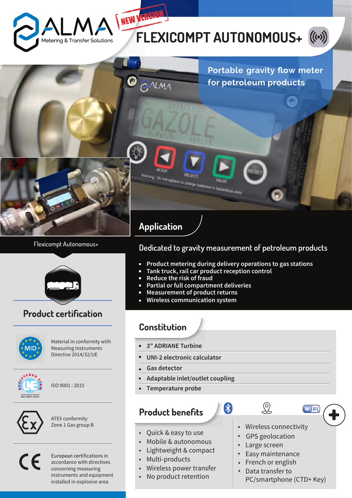

# **FLEXICOMPT AUTONOMOUS+**





#### Flexicompt Autonomous+



### **Product certification**



Material in conformity with Measuring Instruments Directive 2014/32/UE



ISO 9001 : 2015



ATEX conformity Zone 1 Gas group B

 $\epsilon$ 

European certifications in accordance with directives concerning measuring instruments and equipment installed in explosive area

### **Dedicated to gravity measurement of petroleum products**

**Product metering during delivery operations to gas stations**  $\overline{\phantom{a}}$ 

 $\frac{1}{2}$ 

- **Tank truck, rail car product reception control**
- **Reduce the risk of fraud**
- **Partial or full compartment deliveries**
- **Measurement of product returns**
- **Wireless communication system**

## **Constitution**

- **3" ADRIANE Turbine** r.
- i. **UNI-2 electronic calculator**
- **Gas detector** r.
- **Adaptable inlet/outlet coupling** i.
- **Temperature probe** i,

### **Product benefits**

- Quick & easy to use
- Mobile & autonomous
- Lightweight & compact
- Multi-products
- Wireless power transfer
- No product retention
- Wireless connectivity
- GPS geolocation

 $\Omega$ 

- Large screen
- Easy maintenance
- French or english
- Data transfer to •
- PC/smartphone (CTD+ Key)

**Wi**Fi